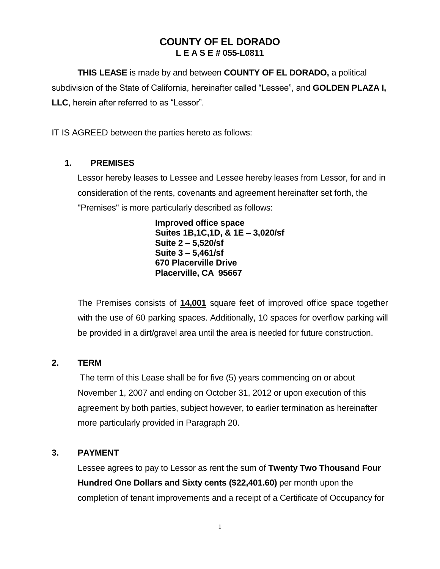# **COUNTY OF EL DORADO L E A S E # 055-L0811**

**THIS LEASE** is made by and between **COUNTY OF EL DORADO,** a political subdivision of the State of California, hereinafter called "Lessee", and **GOLDEN PLAZA I, LLC**, herein after referred to as "Lessor".

IT IS AGREED between the parties hereto as follows:

## **1. PREMISES**

Lessor hereby leases to Lessee and Lessee hereby leases from Lessor, for and in consideration of the rents, covenants and agreement hereinafter set forth, the "Premises" is more particularly described as follows:

> **Improved office space Suites 1B,1C,1D, & 1E – 3,020/sf Suite 2 – 5,520/sf Suite 3 – 5,461/sf 670 Placerville Drive Placerville, CA 95667**

The Premises consists of **14,001** square feet of improved office space together with the use of 60 parking spaces. Additionally, 10 spaces for overflow parking will be provided in a dirt/gravel area until the area is needed for future construction.

## **2. TERM**

The term of this Lease shall be for five (5) years commencing on or about November 1, 2007 and ending on October 31, 2012 or upon execution of this agreement by both parties, subject however, to earlier termination as hereinafter more particularly provided in Paragraph 20.

## **3. PAYMENT**

Lessee agrees to pay to Lessor as rent the sum of **Twenty Two Thousand Four Hundred One Dollars and Sixty cents (\$22,401.60)** per month upon the completion of tenant improvements and a receipt of a Certificate of Occupancy for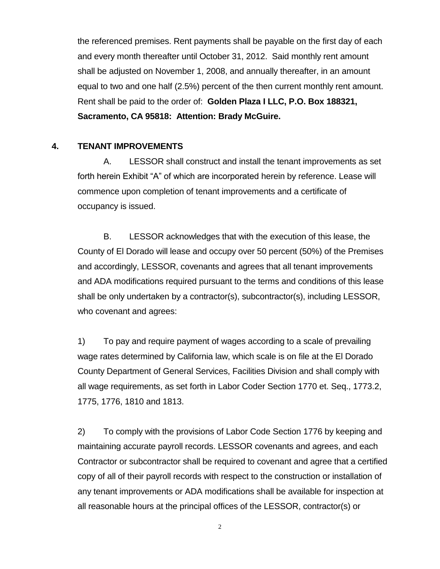the referenced premises. Rent payments shall be payable on the first day of each and every month thereafter until October 31, 2012. Said monthly rent amount shall be adjusted on November 1, 2008, and annually thereafter, in an amount equal to two and one half (2.5%) percent of the then current monthly rent amount. Rent shall be paid to the order of: **Golden Plaza I LLC, P.O. Box 188321, Sacramento, CA 95818: Attention: Brady McGuire.**

#### **4. TENANT IMPROVEMENTS**

A. LESSOR shall construct and install the tenant improvements as set forth herein Exhibit "A" of which are incorporated herein by reference. Lease will commence upon completion of tenant improvements and a certificate of occupancy is issued.

B. LESSOR acknowledges that with the execution of this lease, the County of El Dorado will lease and occupy over 50 percent (50%) of the Premises and accordingly, LESSOR, covenants and agrees that all tenant improvements and ADA modifications required pursuant to the terms and conditions of this lease shall be only undertaken by a contractor(s), subcontractor(s), including LESSOR, who covenant and agrees:

1) To pay and require payment of wages according to a scale of prevailing wage rates determined by California law, which scale is on file at the El Dorado County Department of General Services, Facilities Division and shall comply with all wage requirements, as set forth in Labor Coder Section 1770 et. Seq., 1773.2, 1775, 1776, 1810 and 1813.

2) To comply with the provisions of Labor Code Section 1776 by keeping and maintaining accurate payroll records. LESSOR covenants and agrees, and each Contractor or subcontractor shall be required to covenant and agree that a certified copy of all of their payroll records with respect to the construction or installation of any tenant improvements or ADA modifications shall be available for inspection at all reasonable hours at the principal offices of the LESSOR, contractor(s) or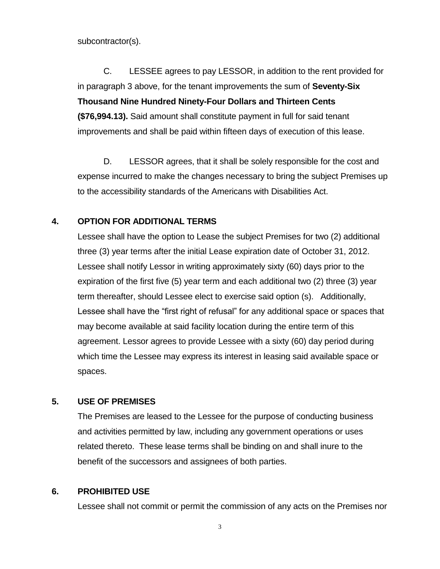subcontractor(s).

C. LESSEE agrees to pay LESSOR, in addition to the rent provided for in paragraph 3 above, for the tenant improvements the sum of **Seventy-Six Thousand Nine Hundred Ninety-Four Dollars and Thirteen Cents (\$76,994.13).** Said amount shall constitute payment in full for said tenant improvements and shall be paid within fifteen days of execution of this lease.

D. LESSOR agrees, that it shall be solely responsible for the cost and expense incurred to make the changes necessary to bring the subject Premises up to the accessibility standards of the Americans with Disabilities Act.

#### **4. OPTION FOR ADDITIONAL TERMS**

Lessee shall have the option to Lease the subject Premises for two (2) additional three (3) year terms after the initial Lease expiration date of October 31, 2012. Lessee shall notify Lessor in writing approximately sixty (60) days prior to the expiration of the first five (5) year term and each additional two (2) three (3) year term thereafter, should Lessee elect to exercise said option (s). Additionally, Lessee shall have the "first right of refusal" for any additional space or spaces that may become available at said facility location during the entire term of this agreement. Lessor agrees to provide Lessee with a sixty (60) day period during which time the Lessee may express its interest in leasing said available space or spaces.

## **5. USE OF PREMISES**

The Premises are leased to the Lessee for the purpose of conducting business and activities permitted by law, including any government operations or uses related thereto. These lease terms shall be binding on and shall inure to the benefit of the successors and assignees of both parties.

#### **6. PROHIBITED USE**

Lessee shall not commit or permit the commission of any acts on the Premises nor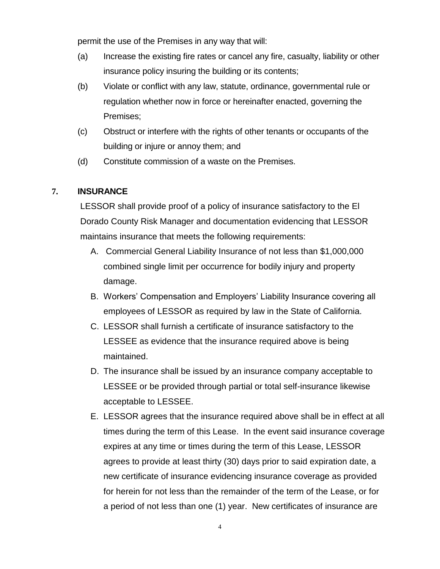permit the use of the Premises in any way that will:

- (a) Increase the existing fire rates or cancel any fire, casualty, liability or other insurance policy insuring the building or its contents;
- (b) Violate or conflict with any law, statute, ordinance, governmental rule or regulation whether now in force or hereinafter enacted, governing the Premises;
- (c) Obstruct or interfere with the rights of other tenants or occupants of the building or injure or annoy them; and
- (d) Constitute commission of a waste on the Premises.

## **7. INSURANCE**

LESSOR shall provide proof of a policy of insurance satisfactory to the El Dorado County Risk Manager and documentation evidencing that LESSOR maintains insurance that meets the following requirements:

- A. Commercial General Liability Insurance of not less than \$1,000,000 combined single limit per occurrence for bodily injury and property damage.
- B. Workers' Compensation and Employers' Liability Insurance covering all employees of LESSOR as required by law in the State of California.
- C. LESSOR shall furnish a certificate of insurance satisfactory to the LESSEE as evidence that the insurance required above is being maintained.
- D. The insurance shall be issued by an insurance company acceptable to LESSEE or be provided through partial or total self-insurance likewise acceptable to LESSEE.
- E. LESSOR agrees that the insurance required above shall be in effect at all times during the term of this Lease. In the event said insurance coverage expires at any time or times during the term of this Lease, LESSOR agrees to provide at least thirty (30) days prior to said expiration date, a new certificate of insurance evidencing insurance coverage as provided for herein for not less than the remainder of the term of the Lease, or for a period of not less than one (1) year. New certificates of insurance are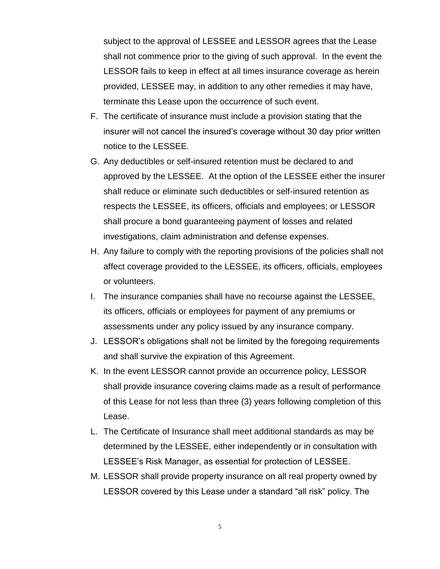subject to the approval of LESSEE and LESSOR agrees that the Lease shall not commence prior to the giving of such approval. In the event the LESSOR fails to keep in effect at all times insurance coverage as herein provided, LESSEE may, in addition to any other remedies it may have, terminate this Lease upon the occurrence of such event.

- F. The certificate of insurance must include a provision stating that the insurer will not cancel the insured's coverage without 30 day prior written notice to the LESSEE.
- G. Any deductibles or self-insured retention must be declared to and approved by the LESSEE. At the option of the LESSEE either the insurer shall reduce or eliminate such deductibles or self-insured retention as respects the LESSEE, its officers, officials and employees; or LESSOR shall procure a bond guaranteeing payment of losses and related investigations, claim administration and defense expenses.
- H. Any failure to comply with the reporting provisions of the policies shall not affect coverage provided to the LESSEE, its officers, officials, employees or volunteers.
- I. The insurance companies shall have no recourse against the LESSEE, its officers, officials or employees for payment of any premiums or assessments under any policy issued by any insurance company.
- J. LESSOR's obligations shall not be limited by the foregoing requirements and shall survive the expiration of this Agreement.
- K. In the event LESSOR cannot provide an occurrence policy, LESSOR shall provide insurance covering claims made as a result of performance of this Lease for not less than three (3) years following completion of this Lease.
- L. The Certificate of Insurance shall meet additional standards as may be determined by the LESSEE, either independently or in consultation with LESSEE's Risk Manager, as essential for protection of LESSEE.
- M. LESSOR shall provide property insurance on all real property owned by LESSOR covered by this Lease under a standard "all risk" policy. The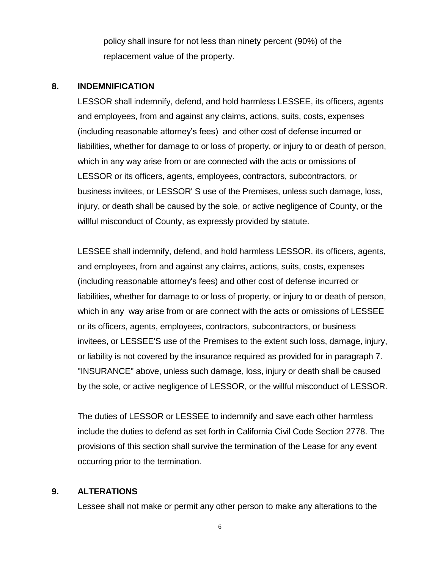policy shall insure for not less than ninety percent (90%) of the replacement value of the property.

#### **8. INDEMNIFICATION**

LESSOR shall indemnify, defend, and hold harmless LESSEE, its officers, agents and employees, from and against any claims, actions, suits, costs, expenses (including reasonable attorney's fees) and other cost of defense incurred or liabilities, whether for damage to or loss of property, or injury to or death of person, which in any way arise from or are connected with the acts or omissions of LESSOR or its officers, agents, employees, contractors, subcontractors, or business invitees, or LESSOR' S use of the Premises, unless such damage, loss, injury, or death shall be caused by the sole, or active negligence of County, or the willful misconduct of County, as expressly provided by statute.

LESSEE shall indemnify, defend, and hold harmless LESSOR, its officers, agents, and employees, from and against any claims, actions, suits, costs, expenses (including reasonable attorney's fees) and other cost of defense incurred or liabilities, whether for damage to or loss of property, or injury to or death of person, which in any way arise from or are connect with the acts or omissions of LESSEE or its officers, agents, employees, contractors, subcontractors, or business invitees, or LESSEE'S use of the Premises to the extent such loss, damage, injury, or liability is not covered by the insurance required as provided for in paragraph 7. "INSURANCE" above, unless such damage, loss, injury or death shall be caused by the sole, or active negligence of LESSOR, or the willful misconduct of LESSOR.

The duties of LESSOR or LESSEE to indemnify and save each other harmless include the duties to defend as set forth in California Civil Code Section 2778. The provisions of this section shall survive the termination of the Lease for any event occurring prior to the termination.

## **9. ALTERATIONS**

Lessee shall not make or permit any other person to make any alterations to the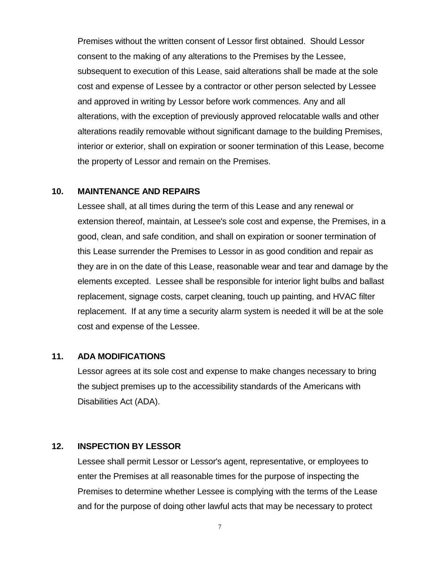Premises without the written consent of Lessor first obtained. Should Lessor consent to the making of any alterations to the Premises by the Lessee, subsequent to execution of this Lease, said alterations shall be made at the sole cost and expense of Lessee by a contractor or other person selected by Lessee and approved in writing by Lessor before work commences. Any and all alterations, with the exception of previously approved relocatable walls and other alterations readily removable without significant damage to the building Premises, interior or exterior, shall on expiration or sooner termination of this Lease, become the property of Lessor and remain on the Premises.

#### **10. MAINTENANCE AND REPAIRS**

Lessee shall, at all times during the term of this Lease and any renewal or extension thereof, maintain, at Lessee's sole cost and expense, the Premises, in a good, clean, and safe condition, and shall on expiration or sooner termination of this Lease surrender the Premises to Lessor in as good condition and repair as they are in on the date of this Lease, reasonable wear and tear and damage by the elements excepted. Lessee shall be responsible for interior light bulbs and ballast replacement, signage costs, carpet cleaning, touch up painting, and HVAC filter replacement. If at any time a security alarm system is needed it will be at the sole cost and expense of the Lessee.

#### **11. ADA MODIFICATIONS**

Lessor agrees at its sole cost and expense to make changes necessary to bring the subject premises up to the accessibility standards of the Americans with Disabilities Act (ADA).

#### **12. INSPECTION BY LESSOR**

Lessee shall permit Lessor or Lessor's agent, representative, or employees to enter the Premises at all reasonable times for the purpose of inspecting the Premises to determine whether Lessee is complying with the terms of the Lease and for the purpose of doing other lawful acts that may be necessary to protect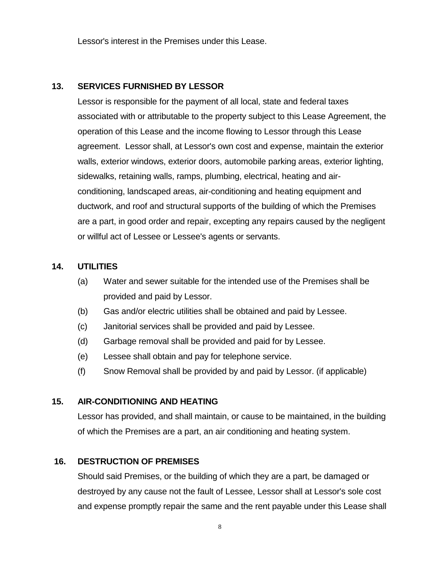Lessor's interest in the Premises under this Lease.

## **13. SERVICES FURNISHED BY LESSOR**

Lessor is responsible for the payment of all local, state and federal taxes associated with or attributable to the property subject to this Lease Agreement, the operation of this Lease and the income flowing to Lessor through this Lease agreement. Lessor shall, at Lessor's own cost and expense, maintain the exterior walls, exterior windows, exterior doors, automobile parking areas, exterior lighting, sidewalks, retaining walls, ramps, plumbing, electrical, heating and airconditioning, landscaped areas, air-conditioning and heating equipment and ductwork, and roof and structural supports of the building of which the Premises are a part, in good order and repair, excepting any repairs caused by the negligent or willful act of Lessee or Lessee's agents or servants.

## **14. UTILITIES**

- (a) Water and sewer suitable for the intended use of the Premises shall be provided and paid by Lessor.
- (b) Gas and/or electric utilities shall be obtained and paid by Lessee.
- (c) Janitorial services shall be provided and paid by Lessee.
- (d) Garbage removal shall be provided and paid for by Lessee.
- (e) Lessee shall obtain and pay for telephone service.
- (f) Snow Removal shall be provided by and paid by Lessor. (if applicable)

#### **15. AIR-CONDITIONING AND HEATING**

Lessor has provided, and shall maintain, or cause to be maintained, in the building of which the Premises are a part, an air conditioning and heating system.

#### **16. DESTRUCTION OF PREMISES**

Should said Premises, or the building of which they are a part, be damaged or destroyed by any cause not the fault of Lessee, Lessor shall at Lessor's sole cost and expense promptly repair the same and the rent payable under this Lease shall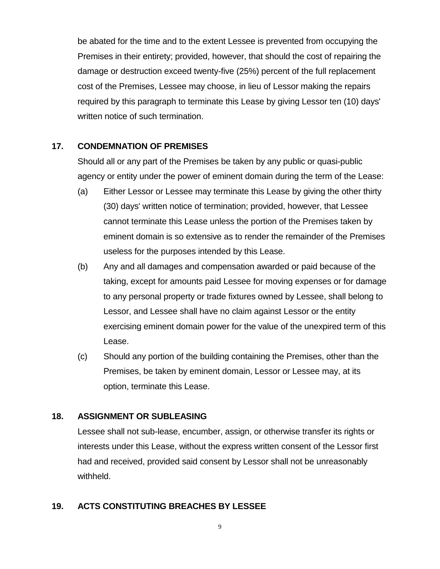be abated for the time and to the extent Lessee is prevented from occupying the Premises in their entirety; provided, however, that should the cost of repairing the damage or destruction exceed twenty-five (25%) percent of the full replacement cost of the Premises, Lessee may choose, in lieu of Lessor making the repairs required by this paragraph to terminate this Lease by giving Lessor ten (10) days' written notice of such termination.

## **17. CONDEMNATION OF PREMISES**

Should all or any part of the Premises be taken by any public or quasi-public agency or entity under the power of eminent domain during the term of the Lease:

- (a) Either Lessor or Lessee may terminate this Lease by giving the other thirty (30) days' written notice of termination; provided, however, that Lessee cannot terminate this Lease unless the portion of the Premises taken by eminent domain is so extensive as to render the remainder of the Premises useless for the purposes intended by this Lease.
- (b) Any and all damages and compensation awarded or paid because of the taking, except for amounts paid Lessee for moving expenses or for damage to any personal property or trade fixtures owned by Lessee, shall belong to Lessor, and Lessee shall have no claim against Lessor or the entity exercising eminent domain power for the value of the unexpired term of this Lease.
- (c) Should any portion of the building containing the Premises, other than the Premises, be taken by eminent domain, Lessor or Lessee may, at its option, terminate this Lease.

## **18. ASSIGNMENT OR SUBLEASING**

Lessee shall not sub-lease, encumber, assign, or otherwise transfer its rights or interests under this Lease, without the express written consent of the Lessor first had and received, provided said consent by Lessor shall not be unreasonably withheld.

## **19. ACTS CONSTITUTING BREACHES BY LESSEE**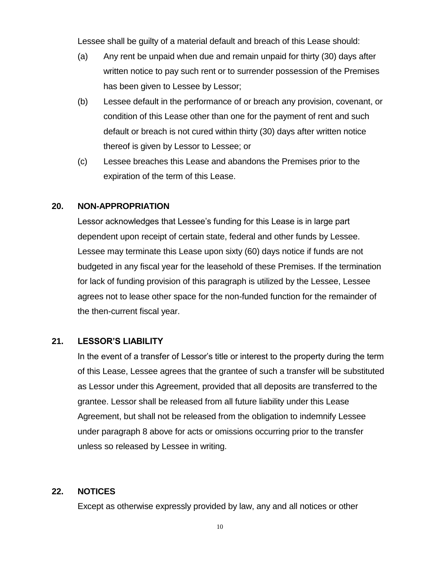Lessee shall be guilty of a material default and breach of this Lease should:

- (a) Any rent be unpaid when due and remain unpaid for thirty (30) days after written notice to pay such rent or to surrender possession of the Premises has been given to Lessee by Lessor;
- (b) Lessee default in the performance of or breach any provision, covenant, or condition of this Lease other than one for the payment of rent and such default or breach is not cured within thirty (30) days after written notice thereof is given by Lessor to Lessee; or
- (c) Lessee breaches this Lease and abandons the Premises prior to the expiration of the term of this Lease.

#### **20. NON-APPROPRIATION**

Lessor acknowledges that Lessee's funding for this Lease is in large part dependent upon receipt of certain state, federal and other funds by Lessee. Lessee may terminate this Lease upon sixty (60) days notice if funds are not budgeted in any fiscal year for the leasehold of these Premises. If the termination for lack of funding provision of this paragraph is utilized by the Lessee, Lessee agrees not to lease other space for the non-funded function for the remainder of the then-current fiscal year.

## **21. LESSOR'S LIABILITY**

In the event of a transfer of Lessor's title or interest to the property during the term of this Lease, Lessee agrees that the grantee of such a transfer will be substituted as Lessor under this Agreement, provided that all deposits are transferred to the grantee. Lessor shall be released from all future liability under this Lease Agreement, but shall not be released from the obligation to indemnify Lessee under paragraph 8 above for acts or omissions occurring prior to the transfer unless so released by Lessee in writing.

#### **22. NOTICES**

Except as otherwise expressly provided by law, any and all notices or other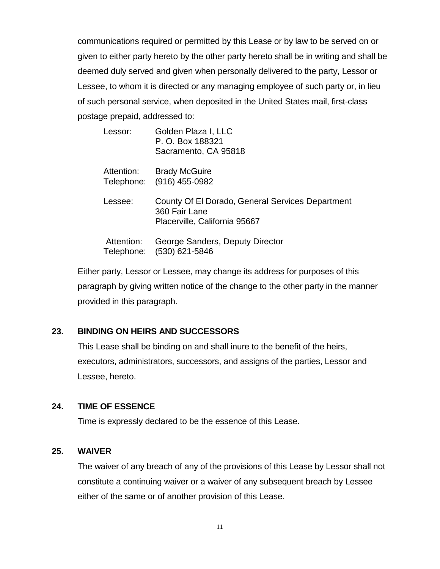communications required or permitted by this Lease or by law to be served on or given to either party hereto by the other party hereto shall be in writing and shall be deemed duly served and given when personally delivered to the party, Lessor or Lessee, to whom it is directed or any managing employee of such party or, in lieu of such personal service, when deposited in the United States mail, first-class postage prepaid, addressed to:

| Lessor:                  | Golden Plaza I, LLC<br>P. O. Box 188321<br>Sacramento, CA 95818                                    |
|--------------------------|----------------------------------------------------------------------------------------------------|
| Attention:               | <b>Brady McGuire</b><br>Telephone: (916) 455-0982                                                  |
| Lessee:                  | County Of El Dorado, General Services Department<br>360 Fair Lane<br>Placerville, California 95667 |
| Attention:<br>Telephone: | George Sanders, Deputy Director<br>(530) 621-5846                                                  |

Either party, Lessor or Lessee, may change its address for purposes of this paragraph by giving written notice of the change to the other party in the manner provided in this paragraph.

## **23. BINDING ON HEIRS AND SUCCESSORS**

This Lease shall be binding on and shall inure to the benefit of the heirs, executors, administrators, successors, and assigns of the parties, Lessor and Lessee, hereto.

## **24. TIME OF ESSENCE**

Time is expressly declared to be the essence of this Lease.

## **25. WAIVER**

The waiver of any breach of any of the provisions of this Lease by Lessor shall not constitute a continuing waiver or a waiver of any subsequent breach by Lessee either of the same or of another provision of this Lease.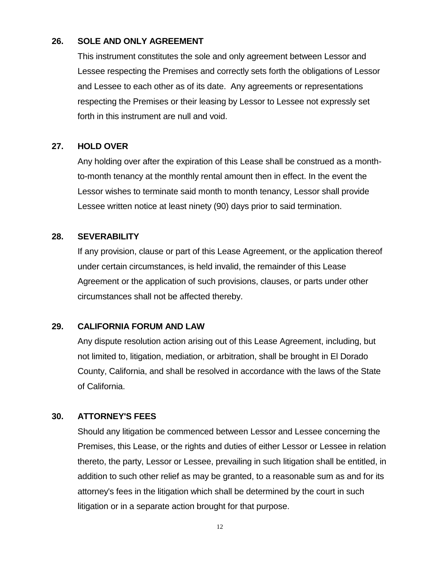#### **26. SOLE AND ONLY AGREEMENT**

This instrument constitutes the sole and only agreement between Lessor and Lessee respecting the Premises and correctly sets forth the obligations of Lessor and Lessee to each other as of its date. Any agreements or representations respecting the Premises or their leasing by Lessor to Lessee not expressly set forth in this instrument are null and void.

## **27. HOLD OVER**

Any holding over after the expiration of this Lease shall be construed as a monthto-month tenancy at the monthly rental amount then in effect. In the event the Lessor wishes to terminate said month to month tenancy, Lessor shall provide Lessee written notice at least ninety (90) days prior to said termination.

#### **28. SEVERABILITY**

If any provision, clause or part of this Lease Agreement, or the application thereof under certain circumstances, is held invalid, the remainder of this Lease Agreement or the application of such provisions, clauses, or parts under other circumstances shall not be affected thereby.

## **29. CALIFORNIA FORUM AND LAW**

Any dispute resolution action arising out of this Lease Agreement, including, but not limited to, litigation, mediation, or arbitration, shall be brought in El Dorado County, California, and shall be resolved in accordance with the laws of the State of California.

## **30. ATTORNEY'S FEES**

Should any litigation be commenced between Lessor and Lessee concerning the Premises, this Lease, or the rights and duties of either Lessor or Lessee in relation thereto, the party, Lessor or Lessee, prevailing in such litigation shall be entitled, in addition to such other relief as may be granted, to a reasonable sum as and for its attorney's fees in the litigation which shall be determined by the court in such litigation or in a separate action brought for that purpose.